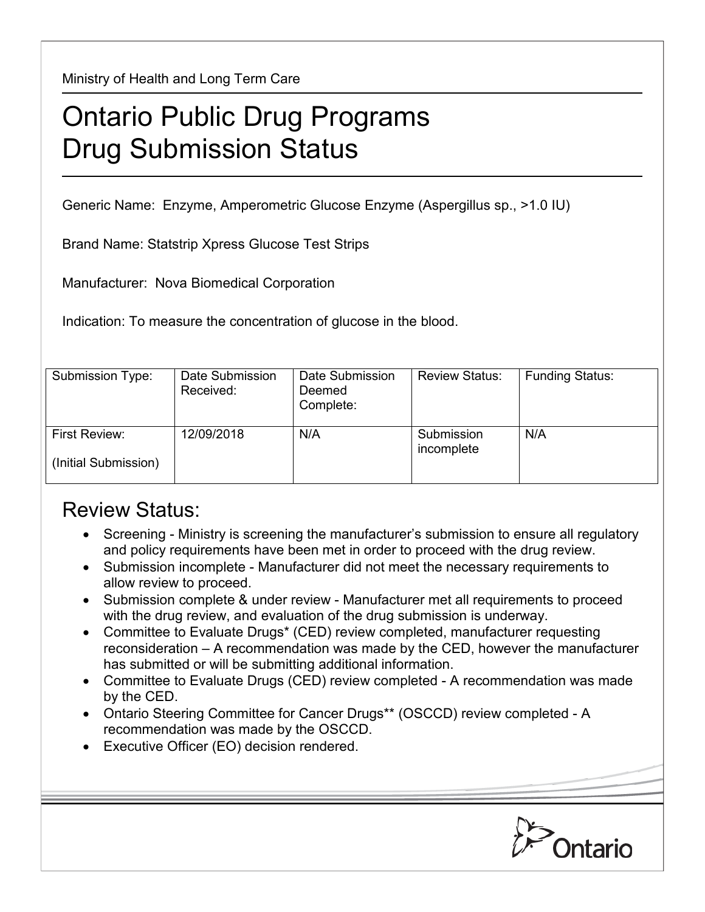Ministry of Health and Long Term Care

## Ontario Public Drug Programs Drug Submission Status

Generic Name: Enzyme, Amperometric Glucose Enzyme (Aspergillus sp., >1.0 IU)

Brand Name: Statstrip Xpress Glucose Test Strips

Manufacturer: Nova Biomedical Corporation

Indication: To measure the concentration of glucose in the blood.

| Submission Type:                      | Date Submission<br>Received: | Date Submission<br>Deemed<br>Complete: | <b>Review Status:</b>    | <b>Funding Status:</b> |
|---------------------------------------|------------------------------|----------------------------------------|--------------------------|------------------------|
| First Review:<br>(Initial Submission) | 12/09/2018                   | N/A                                    | Submission<br>incomplete | N/A                    |

## Review Status:

- Screening Ministry is screening the manufacturer's submission to ensure all regulatory and policy requirements have been met in order to proceed with the drug review.
- Submission incomplete Manufacturer did not meet the necessary requirements to allow review to proceed.
- Submission complete & under review Manufacturer met all requirements to proceed with the drug review, and evaluation of the drug submission is underway.
- Committee to Evaluate Drugs\* (CED) review completed, manufacturer requesting reconsideration – A recommendation was made by the CED, however the manufacturer has submitted or will be submitting additional information.
- Committee to Evaluate Drugs (CED) review completed A recommendation was made by the CED.
- Ontario Steering Committee for Cancer Drugs\*\* (OSCCD) review completed A recommendation was made by the OSCCD.
- Executive Officer (EO) decision rendered.